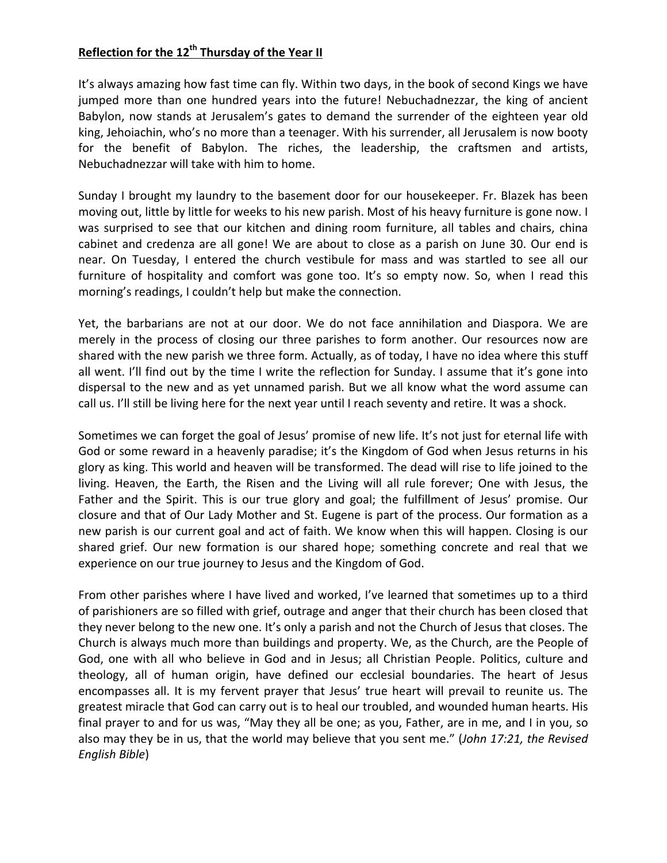## **Reflection for the 12<sup>th</sup> Thursday of the Year II**

It's always amazing how fast time can fly. Within two days, in the book of second Kings we have jumped more than one hundred years into the future! Nebuchadnezzar, the king of ancient Babylon, now stands at Jerusalem's gates to demand the surrender of the eighteen year old king, Jehoiachin, who's no more than a teenager. With his surrender, all Jerusalem is now booty for the benefit of Babylon. The riches, the leadership, the craftsmen and artists, Nebuchadnezzar will take with him to home.

Sunday I brought my laundry to the basement door for our housekeeper. Fr. Blazek has been moving out, little by little for weeks to his new parish. Most of his heavy furniture is gone now. I was surprised to see that our kitchen and dining room furniture, all tables and chairs, china cabinet and credenza are all gone! We are about to close as a parish on June 30. Our end is near. On Tuesday, I entered the church vestibule for mass and was startled to see all our furniture of hospitality and comfort was gone too. It's so empty now. So, when I read this morning's readings, I couldn't help but make the connection.

Yet, the barbarians are not at our door. We do not face annihilation and Diaspora. We are merely in the process of closing our three parishes to form another. Our resources now are shared with the new parish we three form. Actually, as of today, I have no idea where this stuff all went. I'll find out by the time I write the reflection for Sunday. I assume that it's gone into dispersal to the new and as yet unnamed parish. But we all know what the word assume can call us. I'll still be living here for the next year until I reach seventy and retire. It was a shock.

Sometimes we can forget the goal of Jesus' promise of new life. It's not just for eternal life with God or some reward in a heavenly paradise; it's the Kingdom of God when Jesus returns in his glory as king. This world and heaven will be transformed. The dead will rise to life joined to the living. Heaven, the Earth, the Risen and the Living will all rule forever; One with Jesus, the Father and the Spirit. This is our true glory and goal; the fulfillment of Jesus' promise. Our closure and that of Our Lady Mother and St. Eugene is part of the process. Our formation as a new parish is our current goal and act of faith. We know when this will happen. Closing is our shared grief. Our new formation is our shared hope; something concrete and real that we experience on our true journey to Jesus and the Kingdom of God.

From other parishes where I have lived and worked, I've learned that sometimes up to a third of parishioners are so filled with grief, outrage and anger that their church has been closed that they never belong to the new one. It's only a parish and not the Church of Jesus that closes. The Church is always much more than buildings and property. We, as the Church, are the People of God, one with all who believe in God and in Jesus; all Christian People. Politics, culture and theology, all of human origin, have defined our ecclesial boundaries. The heart of Jesus encompasses all. It is my fervent prayer that Jesus' true heart will prevail to reunite us. The greatest miracle that God can carry out is to heal our troubled, and wounded human hearts. His final prayer to and for us was, "May they all be one; as you, Father, are in me, and I in you, so also may they be in us, that the world may believe that you sent me." (*John 17:21, the Revised English Bible*)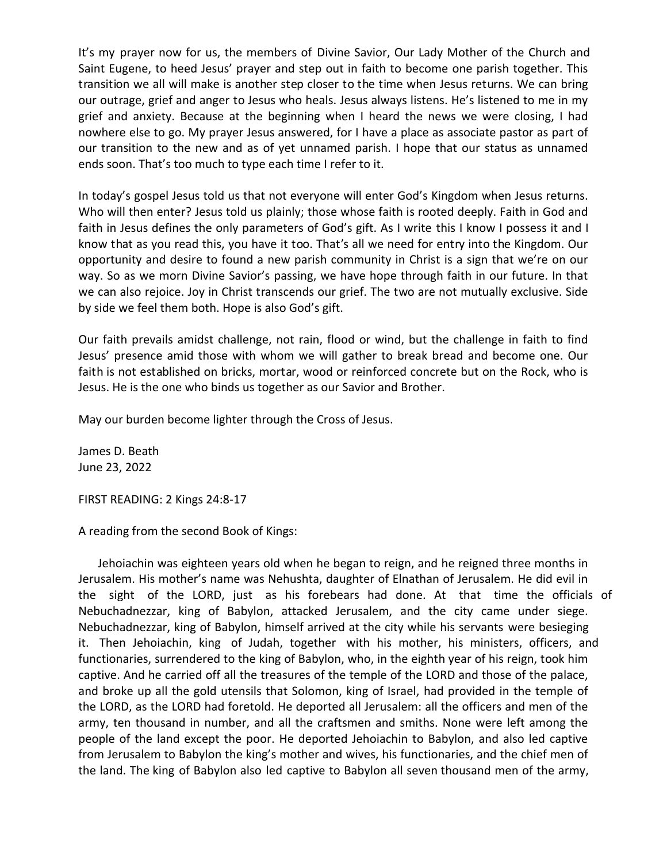It's my prayer now for us, the members of Divine Savior, Our Lady Mother of the Church and Saint Eugene, to heed Jesus' prayer and step out in faith to become one parish together. This transition we all will make is another step closer to the time when Jesus returns. We can bring our outrage, grief and anger to Jesus who heals. Jesus always listens. He's listened to me in my grief and anxiety. Because at the beginning when I heard the news we were closing, I had nowhere else to go. My prayer Jesus answered, for I have a place as associate pastor as part of our transition to the new and as of yet unnamed parish. I hope that our status as unnamed ends soon. That's too much to type each time I refer to it.

In today's gospel Jesus told us that not everyone will enter God's Kingdom when Jesus returns. Who will then enter? Jesus told us plainly; those whose faith is rooted deeply. Faith in God and faith in Jesus defines the only parameters of God's gift. As I write this I know I possess it and I know that as you read this, you have it too. That's all we need for entry into the Kingdom. Our opportunity and desire to found a new parish community in Christ is a sign that we're on our way. So as we morn Divine Savior's passing, we have hope through faith in our future. In that we can also rejoice. Joy in Christ transcends our grief. The two are not mutually exclusive. Side by side we feel them both. Hope is also God's gift.

Our faith prevails amidst challenge, not rain, flood or wind, but the challenge in faith to find Jesus' presence amid those with whom we will gather to break bread and become one. Our faith is not established on bricks, mortar, wood or reinforced concrete but on the Rock, who is Jesus. He is the one who binds us together as our Savior and Brother.

May our burden become lighter through the Cross of Jesus.

James D. Beath June 23, 2022

FIRST READING: 2 Kings 24:8-17

A reading from the second Book of Kings:

Jehoiachin was eighteen years old when he began to reign, and he reigned three months in Jerusalem. His mother's name was Nehushta, daughter of Elnathan of Jerusalem. He did evil in the sight of the LORD, just as his forebears had done. At that time the officials of Nebuchadnezzar, king of Babylon, attacked Jerusalem, and the city came under siege. Nebuchadnezzar, king of Babylon, himself arrived at the city while his servants were besieging it. Then Jehoiachin, king of Judah, together with his mother, his ministers, officers, and functionaries, surrendered to the king of Babylon, who, in the eighth year of his reign, took him captive. And he carried off all the treasures of the temple of the LORD and those of the palace, and broke up all the gold utensils that Solomon, king of Israel, had provided in the temple of the LORD, as the LORD had foretold. He deported all Jerusalem: all the officers and men of the army, ten thousand in number, and all the craftsmen and smiths. None were left among the people of the land except the poor. He deported Jehoiachin to Babylon, and also led captive from Jerusalem to Babylon the king's mother and wives, his functionaries, and the chief men of the land. The king of Babylon also led captive to Babylon all seven thousand men of the army,